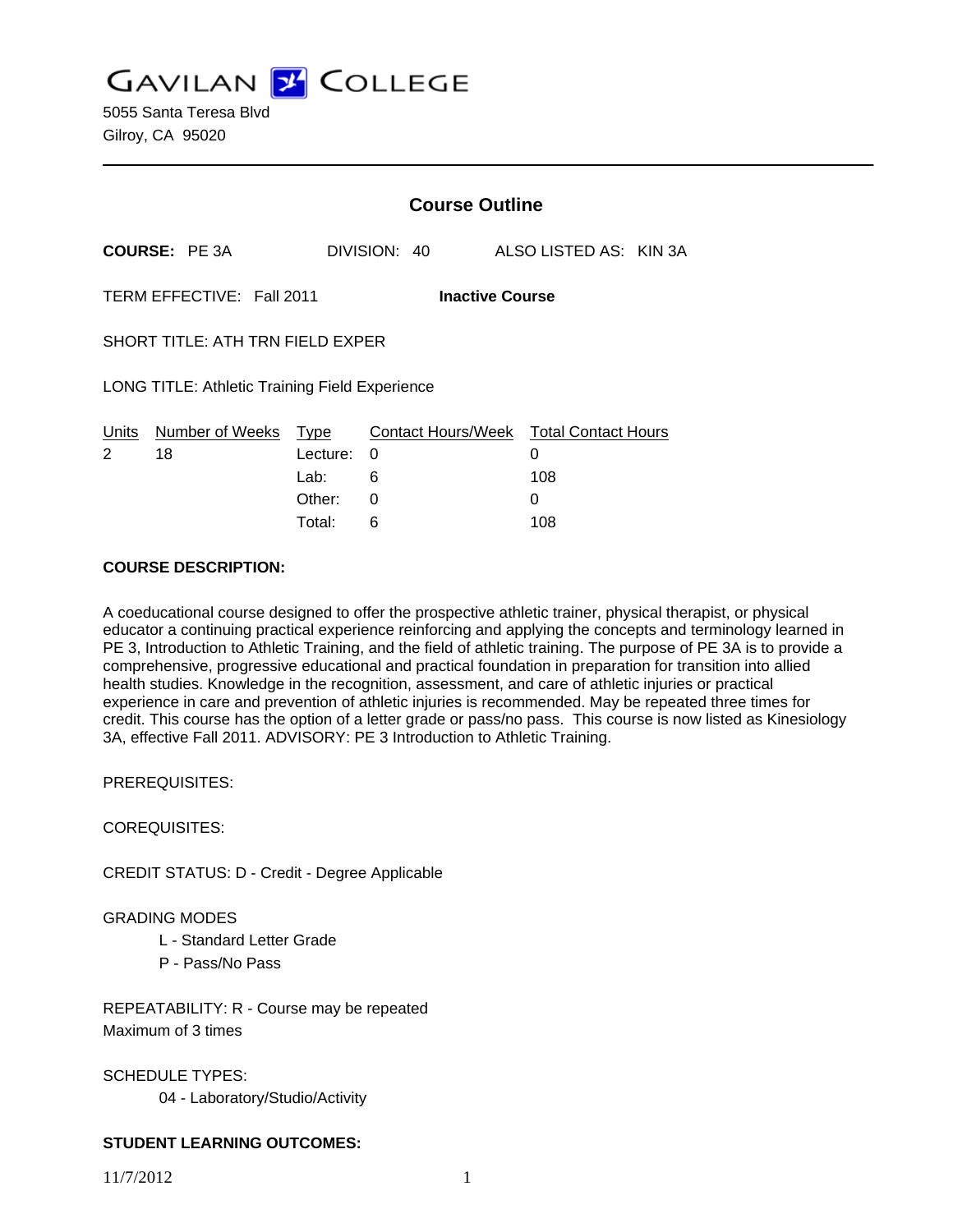**GAVILAN J COLLEGE** 

|                                                       |                      | <b>Course Outline</b> |              |                                        |  |
|-------------------------------------------------------|----------------------|-----------------------|--------------|----------------------------------------|--|
|                                                       | <b>COURSE: PE 3A</b> |                       | DIVISION: 40 | ALSO LISTED AS: KIN 3A                 |  |
| TERM EFFECTIVE: Fall 2011<br><b>Inactive Course</b>   |                      |                       |              |                                        |  |
| SHORT TITLE: ATH TRN FIELD EXPER                      |                      |                       |              |                                        |  |
| <b>LONG TITLE: Athletic Training Field Experience</b> |                      |                       |              |                                        |  |
| Units                                                 | Number of Weeks Type |                       |              | Contact Hours/Week Total Contact Hours |  |
| 2                                                     | 18                   | Lecture:              | 0            | 0                                      |  |
|                                                       |                      | Lab:                  | 6            | 108                                    |  |
|                                                       |                      | Other:                | 0            | 0                                      |  |
|                                                       |                      | Total:                | 6            | 108                                    |  |

#### **COURSE DESCRIPTION:**

A coeducational course designed to offer the prospective athletic trainer, physical therapist, or physical educator a continuing practical experience reinforcing and applying the concepts and terminology learned in PE 3, Introduction to Athletic Training, and the field of athletic training. The purpose of PE 3A is to provide a comprehensive, progressive educational and practical foundation in preparation for transition into allied health studies. Knowledge in the recognition, assessment, and care of athletic injuries or practical experience in care and prevention of athletic injuries is recommended. May be repeated three times for credit. This course has the option of a letter grade or pass/no pass. This course is now listed as Kinesiology 3A, effective Fall 2011. ADVISORY: PE 3 Introduction to Athletic Training.

PREREQUISITES:

COREQUISITES:

CREDIT STATUS: D - Credit - Degree Applicable

### GRADING MODES

- L Standard Letter Grade
- P Pass/No Pass

REPEATABILITY: R - Course may be repeated Maximum of 3 times

SCHEDULE TYPES: 04 - Laboratory/Studio/Activity

### **STUDENT LEARNING OUTCOMES:**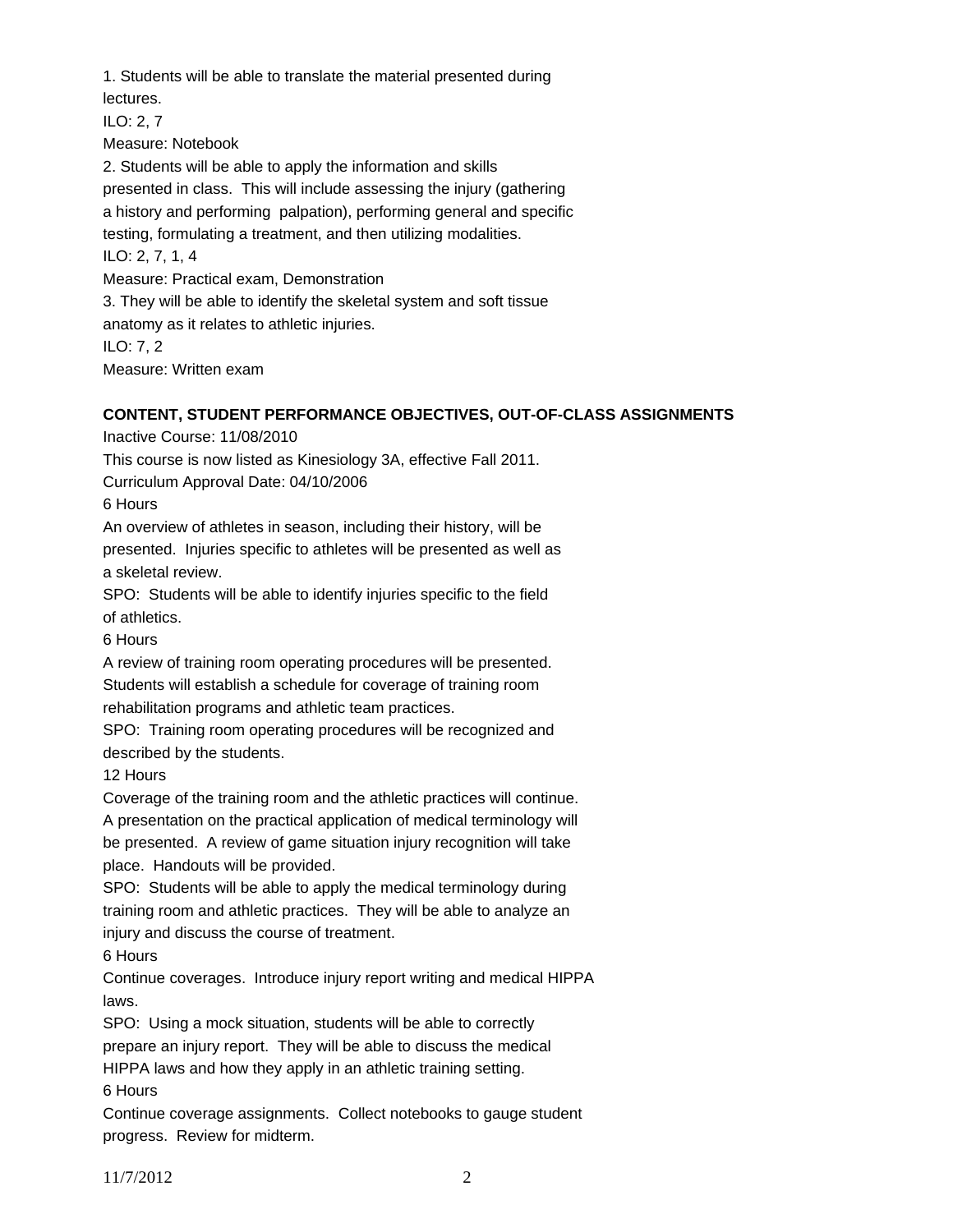1. Students will be able to translate the material presented during lectures. ILO: 2, 7 Measure: Notebook 2. Students will be able to apply the information and skills presented in class. This will include assessing the injury (gathering a history and performing palpation), performing general and specific testing, formulating a treatment, and then utilizing modalities. ILO: 2, 7, 1, 4 Measure: Practical exam, Demonstration 3. They will be able to identify the skeletal system and soft tissue anatomy as it relates to athletic injuries. ILO: 7, 2

Measure: Written exam

## **CONTENT, STUDENT PERFORMANCE OBJECTIVES, OUT-OF-CLASS ASSIGNMENTS**

Inactive Course: 11/08/2010

This course is now listed as Kinesiology 3A, effective Fall 2011.

Curriculum Approval Date: 04/10/2006

6 Hours

An overview of athletes in season, including their history, will be presented. Injuries specific to athletes will be presented as well as a skeletal review.

SPO: Students will be able to identify injuries specific to the field of athletics.

6 Hours

A review of training room operating procedures will be presented. Students will establish a schedule for coverage of training room rehabilitation programs and athletic team practices.

SPO: Training room operating procedures will be recognized and described by the students.

12 Hours

Coverage of the training room and the athletic practices will continue. A presentation on the practical application of medical terminology will be presented. A review of game situation injury recognition will take place. Handouts will be provided.

SPO: Students will be able to apply the medical terminology during training room and athletic practices. They will be able to analyze an injury and discuss the course of treatment.

6 Hours

Continue coverages. Introduce injury report writing and medical HIPPA laws.

SPO: Using a mock situation, students will be able to correctly prepare an injury report. They will be able to discuss the medical HIPPA laws and how they apply in an athletic training setting.

6 Hours

Continue coverage assignments. Collect notebooks to gauge student progress. Review for midterm.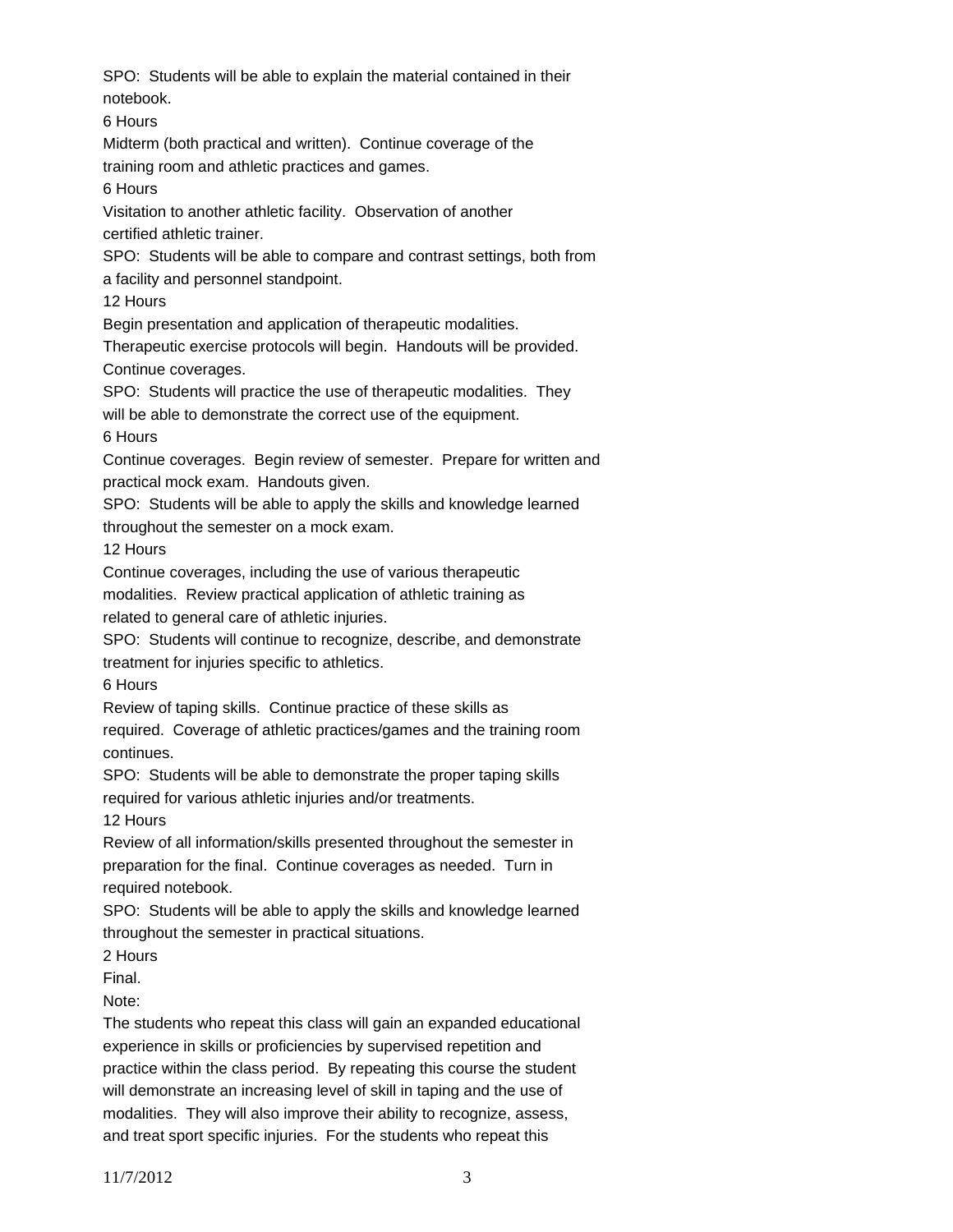SPO: Students will be able to explain the material contained in their notebook.

6 Hours

Midterm (both practical and written). Continue coverage of the training room and athletic practices and games.

6 Hours

Visitation to another athletic facility. Observation of another certified athletic trainer.

SPO: Students will be able to compare and contrast settings, both from a facility and personnel standpoint.

12 Hours

Begin presentation and application of therapeutic modalities.

Therapeutic exercise protocols will begin. Handouts will be provided. Continue coverages.

SPO: Students will practice the use of therapeutic modalities. They will be able to demonstrate the correct use of the equipment.

6 Hours

Continue coverages. Begin review of semester. Prepare for written and practical mock exam. Handouts given.

SPO: Students will be able to apply the skills and knowledge learned

throughout the semester on a mock exam.

12 Hours

Continue coverages, including the use of various therapeutic

modalities. Review practical application of athletic training as

related to general care of athletic injuries.

SPO: Students will continue to recognize, describe, and demonstrate

treatment for injuries specific to athletics.

6 Hours

Review of taping skills. Continue practice of these skills as

required. Coverage of athletic practices/games and the training room continues.

SPO: Students will be able to demonstrate the proper taping skills

required for various athletic injuries and/or treatments.

12 Hours

Review of all information/skills presented throughout the semester in preparation for the final. Continue coverages as needed. Turn in required notebook.

SPO: Students will be able to apply the skills and knowledge learned throughout the semester in practical situations.

2 Hours

Final.

Note:

The students who repeat this class will gain an expanded educational experience in skills or proficiencies by supervised repetition and practice within the class period. By repeating this course the student will demonstrate an increasing level of skill in taping and the use of modalities. They will also improve their ability to recognize, assess, and treat sport specific injuries. For the students who repeat this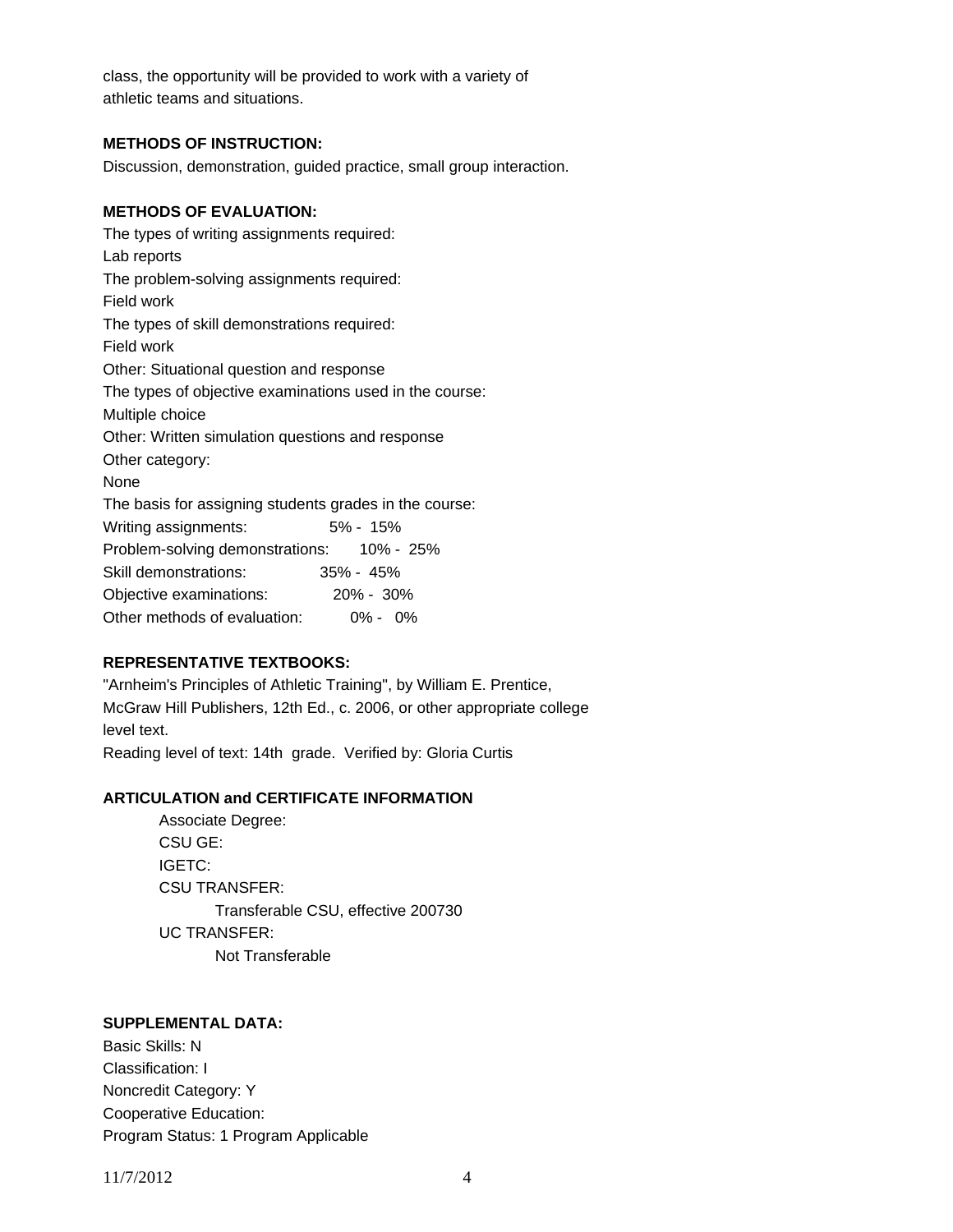class, the opportunity will be provided to work with a variety of athletic teams and situations.

### **METHODS OF INSTRUCTION:**

Discussion, demonstration, guided practice, small group interaction.

## **METHODS OF EVALUATION:**

The types of writing assignments required: Lab reports The problem-solving assignments required: Field work The types of skill demonstrations required: Field work Other: Situational question and response The types of objective examinations used in the course: Multiple choice Other: Written simulation questions and response Other category: None The basis for assigning students grades in the course: Writing assignments: 5% - 15% Problem-solving demonstrations: 10% - 25% Skill demonstrations: 35% - 45% Objective examinations: 20% - 30% Other methods of evaluation: 0% - 0%

# **REPRESENTATIVE TEXTBOOKS:**

"Arnheim's Principles of Athletic Training", by William E. Prentice, McGraw Hill Publishers, 12th Ed., c. 2006, or other appropriate college level text. Reading level of text: 14th grade. Verified by: Gloria Curtis

### **ARTICULATION and CERTIFICATE INFORMATION**

 Transferable CSU, effective 200730 UC TRANSFER: Not Transferable Associate Degree: CSU GE: IGETC: CSU TRANSFER:

### **SUPPLEMENTAL DATA:**

Basic Skills: N Classification: I Noncredit Category: Y Cooperative Education: Program Status: 1 Program Applicable